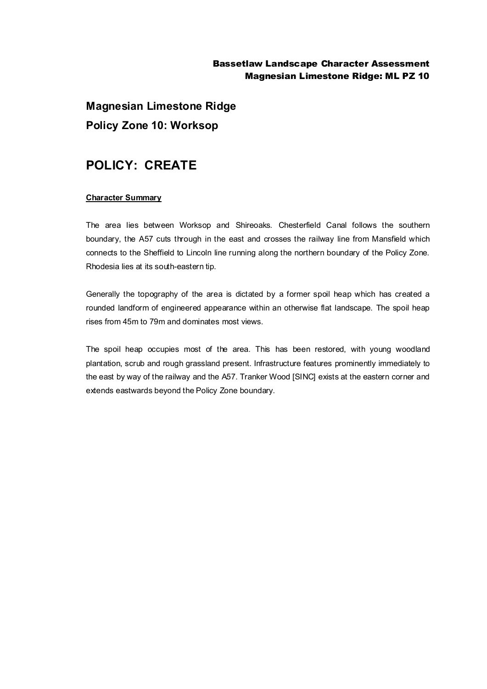## Bassetlaw Landscape Character Assessment Magnesian Limestone Ridge: ML PZ 10

**Magnesian Limestone Ridge Policy Zone 10: Worksop**

## **POLICY: CREATE**

## **Character Summary**

The area lies between Worksop and Shireoaks. Chesterfield Canal follows the southern boundary, the A57 cuts through in the east and crosses the railway line from Mansfield which connects to the Sheffield to Lincoln line running along the northern boundary of the Policy Zone. Rhodesia lies at its south-eastern tip.

Generally the topography of the area is dictated by a former spoil heap which has created a rounded landform of engineered appearance within an otherwise flat landscape. The spoil heap rises from 45m to 79m and dominates most views.

The spoil heap occupies most of the area. This has been restored, with young woodland plantation, scrub and rough grassland present. Infrastructure features prominently immediately to the east by way of the railway and the A57. Tranker Wood [SINC] exists at the eastern corner and extends eastwards beyond the Policy Zone boundary.